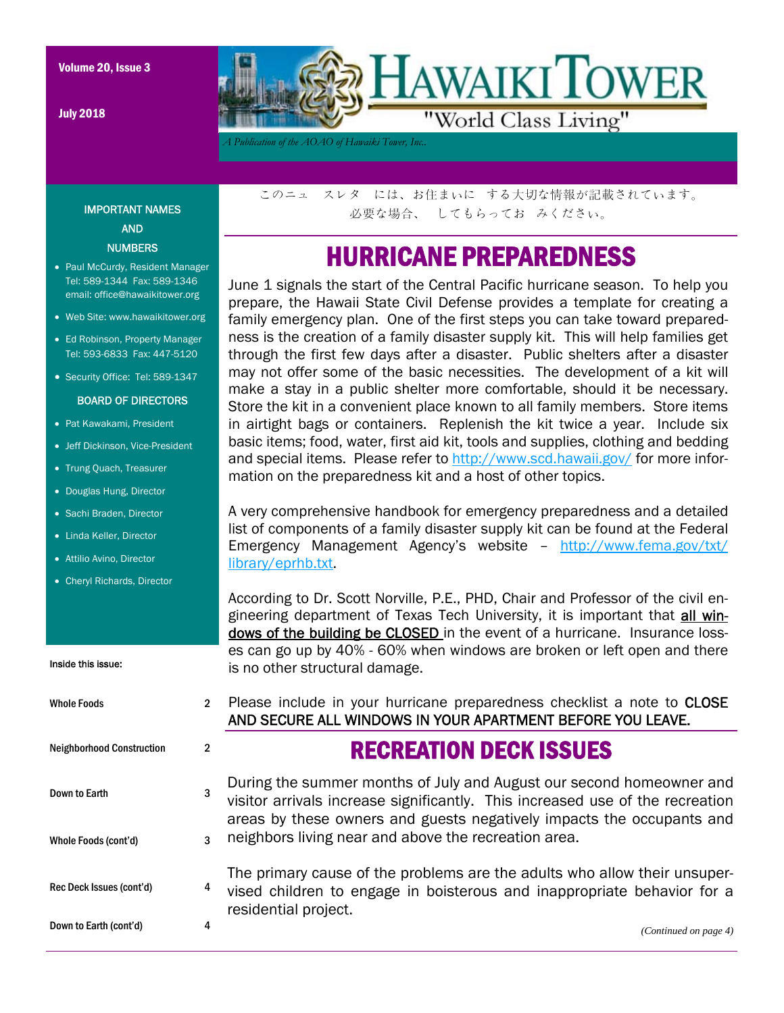July 2018



*A Publication of the AOAO of Hawaiki Tower, Inc..* 

IMPORTANT NAMES AND **NUMBERS** 

- Paul McCurdy, Resident Manager Tel: 589-1344 Fax: 589-1346 email: office@hawaikitower.org
- Web Site: www.hawaikitower.org
- Ed Robinson, Property Manager Tel: 593-6833 Fax: 447-5120
- Security Office: Tel: 589-1347

#### BOARD OF DIRECTORS

- Pat Kawakami, President
- Jeff Dickinson, Vice-President
- Trung Quach, Treasurer
- Douglas Hung, Director
- Sachi Braden, Director
- Linda Keller, Director
- Attilio Avino, Director
- Cheryl Richards, Director

#### Inside this issue:

Whole Foods 2 Neighborhood Construction 2 Down to Earth 3 Whole Foods (cont'd) 3 このニュ スレタ には、お住まいに する大切な情報が記載されています。 必要な場合、 してもらってお みください。

## HURRICANE PREPAREDNESS

June 1 signals the start of the Central Pacific hurricane season. To help you prepare, the Hawaii State Civil Defense provides a template for creating a family emergency plan. One of the first steps you can take toward preparedness is the creation of a family disaster supply kit. This will help families get through the first few days after a disaster. Public shelters after a disaster may not offer some of the basic necessities. The development of a kit will make a stay in a public shelter more comfortable, should it be necessary. Store the kit in a convenient place known to all family members. Store items in airtight bags or containers. Replenish the kit twice a year. Include six basic items; food, water, first aid kit, tools and supplies, clothing and bedding and special items. Please refer to http://www.scd.hawaii.gov/ for more information on the preparedness kit and a host of other topics.

A very comprehensive handbook for emergency preparedness and a detailed list of components of a family disaster supply kit can be found at the Federal Emergency Management Agency's website – http://www.fema.gov/txt/ library/eprhb.txt.

According to Dr. Scott Norville, P.E., PHD, Chair and Professor of the civil engineering department of Texas Tech University, it is important that all windows of the building be CLOSED in the event of a hurricane. Insurance losses can go up by 40% - 60% when windows are broken or left open and there is no other structural damage.

Please include in your hurricane preparedness checklist a note to CLOSE AND SECURE ALL WINDOWS IN YOUR APARTMENT BEFORE YOU LEAVE.

### RECREATION DECK ISSUES

During the summer months of July and August our second homeowner and visitor arrivals increase significantly. This increased use of the recreation areas by these owners and guests negatively impacts the occupants and neighbors living near and above the recreation area.

Rec Deck Issues (cont'd) 4 Down to Earth (cont'd) 4 The primary cause of the problems are the adults who allow their unsupervised children to engage in boisterous and inappropriate behavior for a residential project.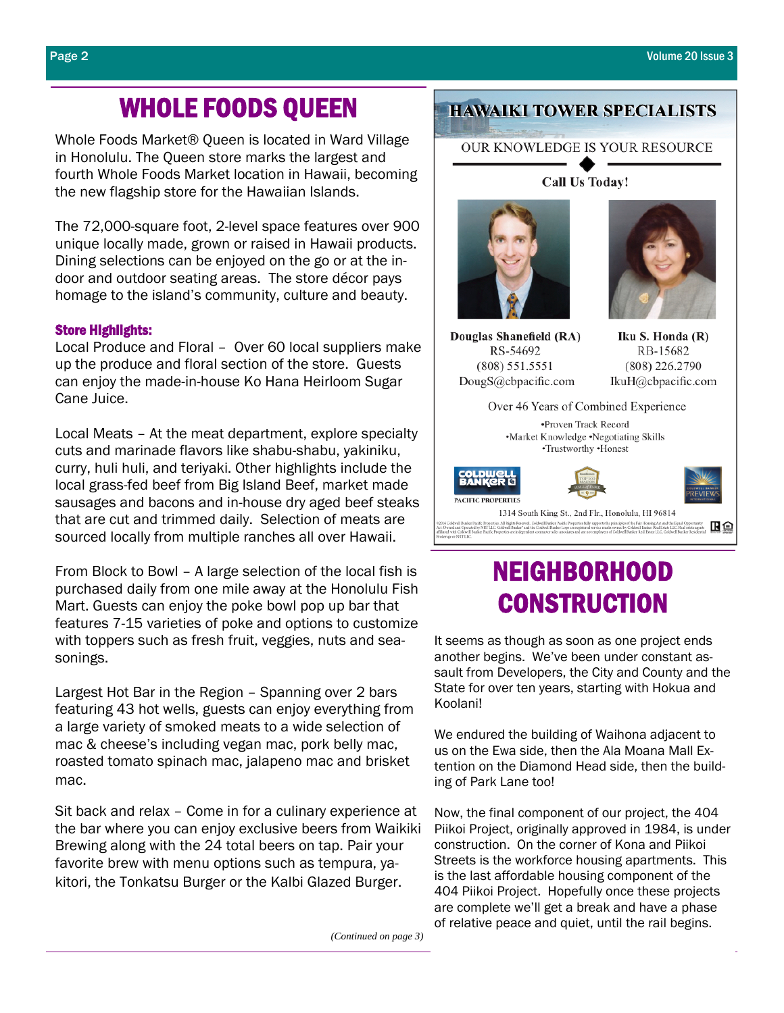# WHOLE FOODS QUEEN

Whole Foods Market® Queen is located in Ward Village in Honolulu. The Queen store marks the largest and fourth Whole Foods Market location in Hawaii, becoming the new flagship store for the Hawaiian Islands.

The 72,000-square foot, 2-level space features over 900 unique locally made, grown or raised in Hawaii products. Dining selections can be enjoyed on the go or at the indoor and outdoor seating areas. The store décor pays homage to the island's community, culture and beauty.

### Store Highlights:

Local Produce and Floral – Over 60 local suppliers make up the produce and floral section of the store. Guests can enjoy the made-in-house Ko Hana Heirloom Sugar Cane Juice.

Local Meats – At the meat department, explore specialty cuts and marinade flavors like shabu-shabu, yakiniku, curry, huli huli, and teriyaki. Other highlights include the local grass-fed beef from Big Island Beef, market made sausages and bacons and in-house dry aged beef steaks that are cut and trimmed daily. Selection of meats are sourced locally from multiple ranches all over Hawaii.

From Block to Bowl – A large selection of the local fish is purchased daily from one mile away at the Honolulu Fish Mart. Guests can enjoy the poke bowl pop up bar that features 7-15 varieties of poke and options to customize with toppers such as fresh fruit, veggies, nuts and seasonings.

Largest Hot Bar in the Region – Spanning over 2 bars featuring 43 hot wells, guests can enjoy everything from a large variety of smoked meats to a wide selection of mac & cheese's including vegan mac, pork belly mac, roasted tomato spinach mac, jalapeno mac and brisket mac.

Sit back and relax – Come in for a culinary experience at the bar where you can enjoy exclusive beers from Waikiki Brewing along with the 24 total beers on tap. Pair your favorite brew with menu options such as tempura, yakitori, the Tonkatsu Burger or the Kalbi Glazed Burger.

### **HAWAIKI TOWER SPECIALISTS**

OUR KNOWLEDGE IS YOUR RESOURCE

Call Us Today!

Douglas Shanefield (RA) RS-54692  $(808) 551.5551$ DougS@cbpacific.com

Iku S. Honda (R) RB-15682 (808) 226.2790 IkuH@cbpacific.com



## NEIGHBORHOOD **CONSTRUCTION**

It seems as though as soon as one project ends another begins. We've been under constant assault from Developers, the City and County and the State for over ten years, starting with Hokua and Koolani!

We endured the building of Waihona adjacent to us on the Ewa side, then the Ala Moana Mall Extention on the Diamond Head side, then the building of Park Lane too!

Now, the final component of our project, the 404 Piikoi Project, originally approved in 1984, is under construction. On the corner of Kona and Piikoi Streets is the workforce housing apartments. This is the last affordable housing component of the 404 Piikoi Project. Hopefully once these projects are complete we'll get a break and have a phase of relative peace and quiet, until the rail begins.

*(Continued on page 3)*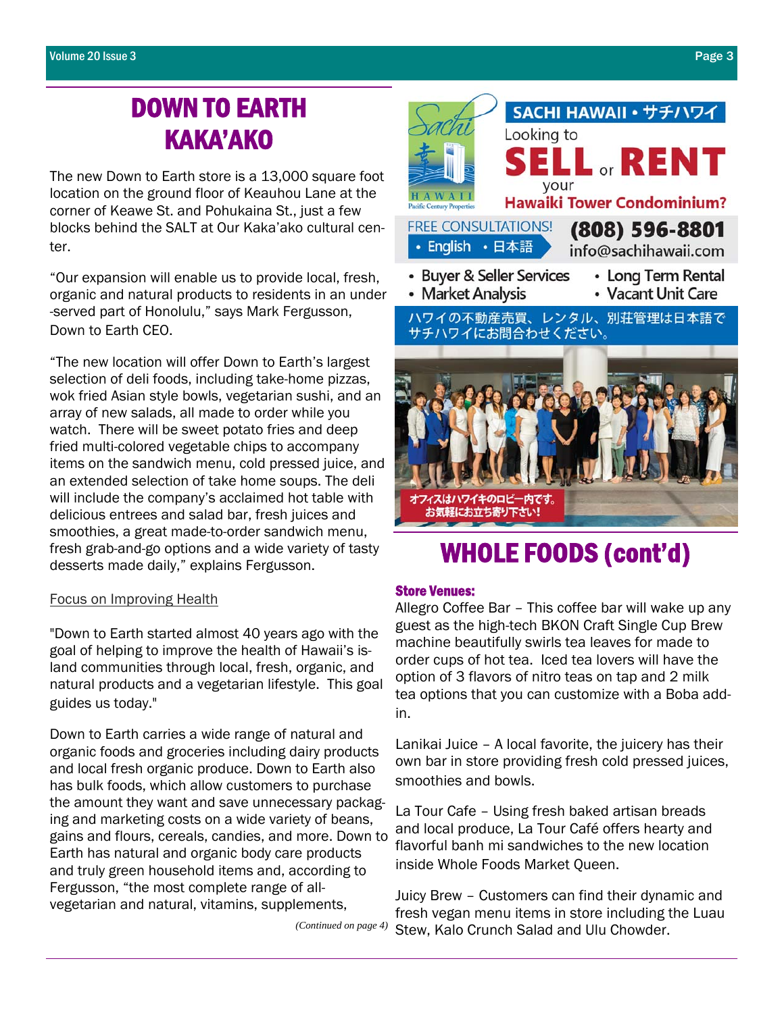## DOWN TO EARTH KAKA'AKO

The new Down to Earth store is a 13,000 square foot location on the ground floor of Keauhou Lane at the corner of Keawe St. and Pohukaina St., just a few blocks behind the SALT at Our Kaka'ako cultural center.

"Our expansion will enable us to provide local, fresh, organic and natural products to residents in an under -served part of Honolulu," says Mark Fergusson, Down to Earth CEO.

"The new location will offer Down to Earth's largest selection of deli foods, including take-home pizzas, wok fried Asian style bowls, vegetarian sushi, and an array of new salads, all made to order while you watch. There will be sweet potato fries and deep fried multi-colored vegetable chips to accompany items on the sandwich menu, cold pressed juice, and an extended selection of take home soups. The deli will include the company's acclaimed hot table with delicious entrees and salad bar, fresh juices and smoothies, a great made-to-order sandwich menu, fresh grab-and-go options and a wide variety of tasty desserts made daily," explains Fergusson.

### Focus on Improving Health

"Down to Earth started almost 40 years ago with the goal of helping to improve the health of Hawaii's island communities through local, fresh, organic, and natural products and a vegetarian lifestyle. This goal guides us today."

Down to Earth carries a wide range of natural and organic foods and groceries including dairy products and local fresh organic produce. Down to Earth also has bulk foods, which allow customers to purchase the amount they want and save unnecessary packaging and marketing costs on a wide variety of beans, gains and flours, cereals, candies, and more. Down to Earth has natural and organic body care products and truly green household items and, according to Fergusson, "the most complete range of allvegetarian and natural, vitamins, supplements,

*(Continued on page 4)* 



## WHOLE FOODS (cont'd)

### Store Venues:

Allegro Coffee Bar – This coffee bar will wake up any guest as the high-tech BKON Craft Single Cup Brew machine beautifully swirls tea leaves for made to order cups of hot tea. Iced tea lovers will have the option of 3 flavors of nitro teas on tap and 2 milk tea options that you can customize with a Boba addin.

Lanikai Juice – A local favorite, the juicery has their own bar in store providing fresh cold pressed juices, smoothies and bowls.

La Tour Cafe – Using fresh baked artisan breads and local produce, La Tour Café offers hearty and flavorful banh mi sandwiches to the new location inside Whole Foods Market Queen.

Juicy Brew – Customers can find their dynamic and fresh vegan menu items in store including the Luau Stew, Kalo Crunch Salad and Ulu Chowder.